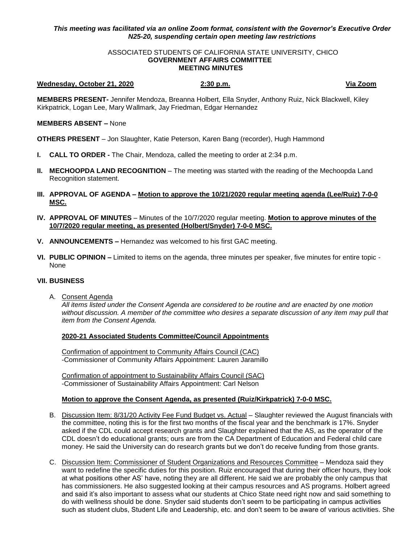# *This meeting was facilitated via an online Zoom format, consistent with the Governor's Executive Order N25-20, suspending certain open meeting law restrictions*

#### ASSOCIATED STUDENTS OF CALIFORNIA STATE UNIVERSITY, CHICO **GOVERNMENT AFFAIRS COMMITTEE MEETING MINUTES**

#### **Wednesday, October 21, 2020 2:30 p.m. Via Zoom**

**MEMBERS PRESENT-** Jennifer Mendoza, Breanna Holbert, Ella Snyder, Anthony Ruiz, Nick Blackwell, Kiley Kirkpatrick, Logan Lee, Mary Wallmark, Jay Friedman, Edgar Hernandez

## **MEMBERS ABSENT –** None

**OTHERS PRESENT** – Jon Slaughter, Katie Peterson, Karen Bang (recorder), Hugh Hammond

- **I. CALL TO ORDER -** The Chair, Mendoza, called the meeting to order at 2:34 p.m.
- **II. MECHOOPDA LAND RECOGNITION** The meeting was started with the reading of the Mechoopda Land Recognition statement.
- **III. APPROVAL OF AGENDA – Motion to approve the 10/21/2020 regular meeting agenda (Lee/Ruiz) 7-0-0 MSC.**
- **IV. APPROVAL OF MINUTES** Minutes of the 10/7/2020 regular meeting. **Motion to approve minutes of the 10/7/2020 regular meeting, as presented (Holbert/Snyder) 7-0-0 MSC.**
- **V. ANNOUNCEMENTS –** Hernandez was welcomed to his first GAC meeting.
- **VI. PUBLIC OPINION –** Limited to items on the agenda, three minutes per speaker, five minutes for entire topic None

## **VII. BUSINESS**

A. Consent Agenda

*All items listed under the Consent Agenda are considered to be routine and are enacted by one motion without discussion. A member of the committee who desires a separate discussion of any item may pull that item from the Consent Agenda.* 

# **2020-21 Associated Students Committee/Council Appointments**

Confirmation of appointment to Community Affairs Council (CAC) -Commissioner of Community Affairs Appointment: Lauren Jaramillo

Confirmation of appointment to Sustainability Affairs Council (SAC) -Commissioner of Sustainability Affairs Appointment: Carl Nelson

## **Motion to approve the Consent Agenda, as presented (Ruiz/Kirkpatrick) 7-0-0 MSC.**

- B. Discussion Item: 8/31/20 Activity Fee Fund Budget vs. Actual Slaughter reviewed the August financials with the committee, noting this is for the first two months of the fiscal year and the benchmark is 17%. Snyder asked if the CDL could accept research grants and Slaughter explained that the AS, as the operator of the CDL doesn't do educational grants; ours are from the CA Department of Education and Federal child care money. He said the University can do research grants but we don't do receive funding from those grants.
- C. Discussion Item: Commissioner of Student Organizations and Resources Committee Mendoza said they want to redefine the specific duties for this position. Ruiz encouraged that during their officer hours, they look at what positions other AS' have, noting they are all different. He said we are probably the only campus that has commissioners. He also suggested looking at their campus resources and AS programs. Holbert agreed and said it's also important to assess what our students at Chico State need right now and said something to do with wellness should be done. Snyder said students don't seem to be participating in campus activities such as student clubs, Student Life and Leadership, etc. and don't seem to be aware of various activities. She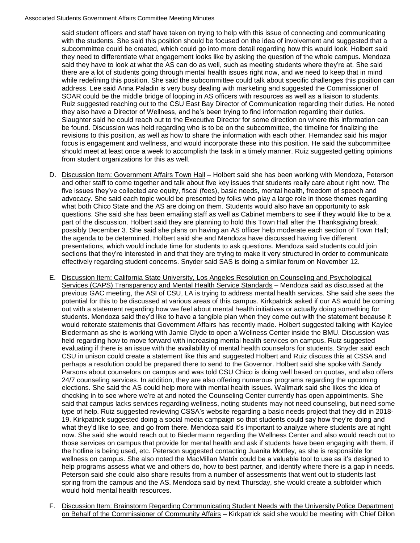#### Associated Students Government Affairs Committee Meeting Minutes

said student officers and staff have taken on trying to help with this issue of connecting and communicating with the students. She said this position should be focused on the idea of involvement and suggested that a subcommittee could be created, which could go into more detail regarding how this would look. Holbert said they need to differentiate what engagement looks like by asking the question of the whole campus. Mendoza said they have to look at what the AS can do as well, such as meeting students where they're at. She said there are a lot of students going through mental health issues right now, and we need to keep that in mind while redefining this position. She said the subcommittee could talk about specific challenges this position can address. Lee said Anna Paladin is very busy dealing with marketing and suggested the Commissioner of SOAR could be the middle bridge of looping in AS officers with resources as well as a liaison to students. Ruiz suggested reaching out to the CSU East Bay Director of Communication regarding their duties. He noted they also have a Director of Wellness, and he's been trying to find information regarding their duties. Slaughter said he could reach out to the Executive Director for some direction on where this information can be found. Discussion was held regarding who is to be on the subcommittee, the timeline for finalizing the revisions to this position, as well as how to share the information with each other. Hernandez said his major focus is engagement and wellness, and would incorporate these into this position. He said the subcommittee should meet at least once a week to accomplish the task in a timely manner. Ruiz suggested getting opinions from student organizations for this as well.

- D. Discussion Item: Government Affairs Town Hall Holbert said she has been working with Mendoza, Peterson and other staff to come together and talk about five key issues that students really care about right now. The five issues they've collected are equity, fiscal (fees), basic needs, mental health, freedom of speech and advocacy. She said each topic would be presented by folks who play a large role in those themes regarding what both Chico State and the AS are doing on them. Students would also have an opportunity to ask questions. She said she has been emailing staff as well as Cabinet members to see if they would like to be a part of the discussion. Holbert said they are planning to hold this Town Hall after the Thanksgiving break, possibly December 3. She said she plans on having an AS officer help moderate each section of Town Hall; the agenda to be determined. Holbert said she and Mendoza have discussed having five different presentations, which would include time for students to ask questions. Mendoza said students could join sections that they're interested in and that they are trying to make it very structured in order to communicate effectively regarding student concerns. Snyder said SAS is doing a similar forum on November 12.
- E. Discussion Item: California State University, Los Angeles Resolution on Counseling and Psychological Services (CAPS) Transparency and Mental Health Service Standards – Mendoza said as discussed at the previous GAC meeting, the ASI of CSU, LA is trying to address mental health services. She said she sees the potential for this to be discussed at various areas of this campus. Kirkpatrick asked if our AS would be coming out with a statement regarding how we feel about mental health initiatives or actually doing something for students. Mendoza said they'd like to have a tangible plan when they come out with the statement because it would reiterate statements that Government Affairs has recently made. Holbert suggested talking with Kaylee Biedermann as she is working with Jamie Clyde to open a Wellness Center inside the BMU. Discussion was held regarding how to move forward with increasing mental health services on campus. Ruiz suggested evaluating if there is an issue with the availability of mental health counselors for students. Snyder said each CSU in unison could create a statement like this and suggested Holbert and Ruiz discuss this at CSSA and perhaps a resolution could be prepared there to send to the Governor. Holbert said she spoke with Sandy Parsons about counselors on campus and was told CSU Chico is doing well based on quotas, and also offers 24/7 counseling services. In addition, they are also offering numerous programs regarding the upcoming elections. She said the AS could help more with mental health issues. Wallmark said she likes the idea of checking in to see where we're at and noted the Counseling Center currently has open appointments. She said that campus lacks services regarding wellness, noting students may not need counseling, but need some type of help. Ruiz suggested reviewing CSSA's website regarding a basic needs project that they did in 2018- 19. Kirkpatrick suggested doing a social media campaign so that students could say how they're doing and what they'd like to see, and go from there. Mendoza said it's important to analyze where students are at right now. She said she would reach out to Biedermann regarding the Wellness Center and also would reach out to those services on campus that provide for mental health and ask if students have been engaging with them, if the hotline is being used, etc. Peterson suggested contacting Juanita Mottley, as she is responsible for wellness on campus. She also noted the MacMillan Matrix could be a valuable tool to use as it's designed to help programs assess what we and others do, how to best partner, and identify where there is a gap in needs. Peterson said she could also share results from a number of assessments that went out to students last spring from the campus and the AS. Mendoza said by next Thursday, she would create a subfolder which would hold mental health resources.
- F. Discussion Item: Brainstorm Regarding Communicating Student Needs with the University Police Department on Behalf of the Commissioner of Community Affairs – Kirkpatrick said she would be meeting with Chief Dillon